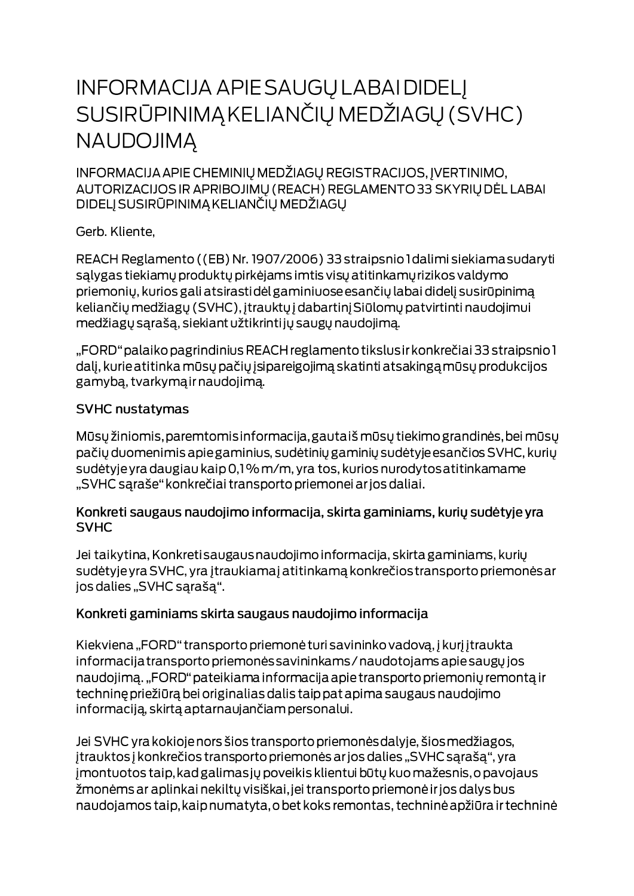# **INFORMACIJA APIE SAUGŲ LABAI DIDELĮ** SUSIRŪPINIMĄ KELIANČIŲ MEDŽIAGŲ (SVHC) **NAUDOJIMA**

INFORMACIJA APIE CHEMINIŲ MEDŽIAGŲ REGISTRACIJOS, ĮVERTINIMO, AUTORIZACIJOS IR APRIBOJIMŲ (REACH) REGLAMENTO 33 SKYRIŲ DĖL LABAI DIDELJ SUSIRŪPINIMĄ KELIANČIŲ MEDŽIAGŲ

Gerb. Kliente,

REACH Reglamento ((EB) Nr. 1907/2006) 33 straipsnio I dalimi siekiama sudaryti salygas tiekiamų produktų pirkėjams imtis visų atitinkamų rizikos valdymo priemonių, kurios gali atsirastidėl gaminiuose esančių labai didelį susirūpinimą keliančių medžiagų (SVHC), įtrauktų į dabartinį Siūlomų patvirtinti naudojimui medžiagų sąrašą, siekiant užtikrintijų saugų naudojimą.

"FORD" palaiko pagrindinius REACH reglamento tikslus ir konkrečiai 33 straipsnio 1 dalį, kurie atitinka mūsų pačių įsipareigojimą skatinti atsakingą mūsų produkcijos gamybą, tvarkymą ir naudojimą.

#### **SVHC nustatymas**

Mūsų žiniomis, paremtomis informacija, gautaiš mūsų tiekimo grandinės, bei mūsų pačių duomenimis apie gaminius, sudėtinių gaminių sudėtyje esančios SVHC, kurių sudėtyje yra daugiau kaip 0,1% m/m, yra tos, kurios nurodytos atitinkamame "SVHC sąraše" konkrečiai transporto priemonei ar jos daliai.

#### Konkreti saugaus naudojimo informacija, skirta gaminiams, kurių sudėtyje yra **SVHC**

Jei taikytina, Konkreti saugaus naudojimo informacija, skirta gaminiams, kurių sudėtyje yra SVHC, yra įtraukiamaj atitinkamą konkrečios transporto priemonės ar jos dalies "SVHC sąrašą".

### Konkreti gaminiams skirta saugaus naudojimo informacija

Kiekviena "FORD" transporto priemonė turi savininko vadovą, į kurį įtraukta informacija transporto priemonės savininkams / naudotojams apie saugų jos naudojimą. "FORD" pateikiama informacija apie transporto priemonių remontą ir techninę priežiūrą bei originalias dalis taip pat apima saugaus naudojimo informaciją, skirtą aptarnaujančiam personalui.

Jei SVHC yra kokioje nors šios transporto priemonės dalyje, šios medžiagos, įtrauktos į konkrečios transporto priemonės ar jos dalies "SVHC sąrašą", yra jmontuotos taip, kad galimas jų poveikis klientui būtų kuo mažesnis, o pavojaus žmonėms ar aplinkai nekiltų visiškai, jei transporto priemonė ir jos dalys bus naudojamos taip, kaip numatyta, o bet koks remontas, techninė apžiūra ir techninė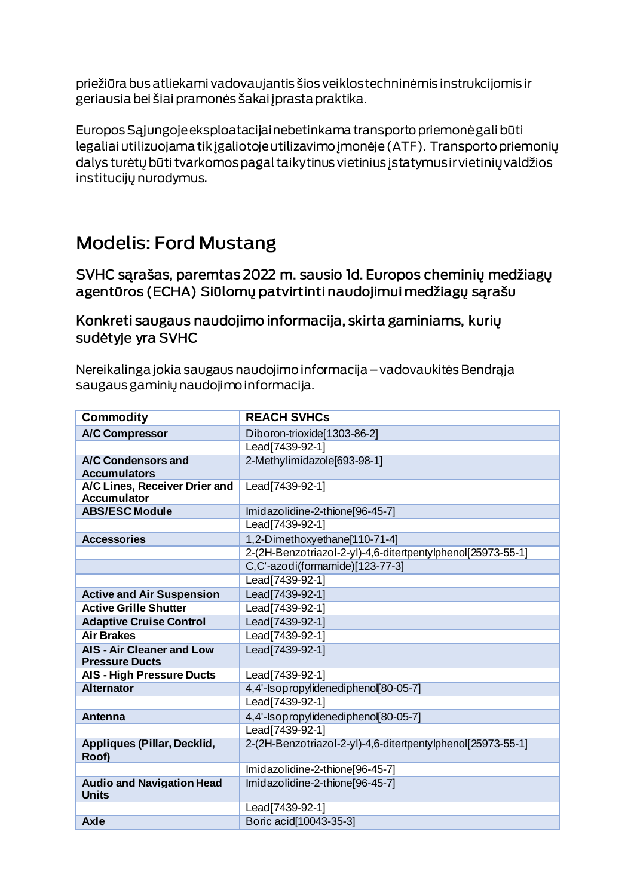priežiūra bus atliekami vadovaujantis šios veiklos techninėmis instrukcijomis ir geriausia bei šiai pramonės šakai į prasta praktika.

Europos Sąjungoje eksploatacijai nebetinkama transporto priemonė gali būti legaliai utilizuojama tik įgaliotoje utilizavimo įmonėje (ATF). Transporto priemonių dalys turėtų būti tvarkomos pagal taikytinus vietinius įstatymus ir vietinių valdžios institucijų nurodymus.

## **Modelis: Ford Mustang**

SVHC sąrašas, paremtas 2022 m. sausio Id. Europos cheminių medžiagų agentūros (ECHA) Siūlomų patvirtinti naudojimui medžiagų sąrašu

Konkreti saugaus naudojimo informacija, skirta gaminiams, kurių sudėtyje yra SVHC

Nereikalinga jokia saugaus naudojimo informacija – vadovaukitės Bendrąja saugaus gaminių naudojimo informacija.

| <b>Commodity</b>                                          | <b>REACH SVHCs</b>                                          |
|-----------------------------------------------------------|-------------------------------------------------------------|
| <b>A/C Compressor</b>                                     | Diboron-trioxide[1303-86-2]                                 |
|                                                           | Lead [7439-92-1]                                            |
| A/C Condensors and                                        | 2-Methylimidazole[693-98-1]                                 |
| <b>Accumulators</b>                                       |                                                             |
| A/C Lines, Receiver Drier and                             | Lead[7439-92-1]                                             |
| <b>Accumulator</b>                                        |                                                             |
| <b>ABS/ESC Module</b>                                     | Imidazolidine-2-thione[96-45-7]                             |
|                                                           | Lead[7439-92-1]                                             |
| <b>Accessories</b>                                        | 1,2-Dimethoxyethane[110-71-4]                               |
|                                                           | 2-(2H-Benzotriazol-2-yl)-4,6-ditertpentylphenol[25973-55-1] |
|                                                           | C,C'-azodi(formamide)[123-77-3]                             |
|                                                           | Lead[7439-92-1]                                             |
| <b>Active and Air Suspension</b>                          | Lead[7439-92-1]                                             |
| <b>Active Grille Shutter</b>                              | Lead[7439-92-1]                                             |
| <b>Adaptive Cruise Control</b>                            | Lead[7439-92-1]                                             |
| <b>Air Brakes</b>                                         | Lead[7439-92-1]                                             |
| <b>AIS - Air Cleaner and Low</b><br><b>Pressure Ducts</b> | Lead[7439-92-1]                                             |
| <b>AIS - High Pressure Ducts</b>                          | Lead[7439-92-1]                                             |
| <b>Alternator</b>                                         | 4,4'-Isopropylidenediphenol[80-05-7]                        |
|                                                           | Lead [7439-92-1]                                            |
| Antenna                                                   | 4,4'-Isopropylidenediphenol[80-05-7]                        |
|                                                           | Lead[7439-92-1]                                             |
| Appliques (Pillar, Decklid,<br>Roof)                      | 2-(2H-Benzotriazol-2-yl)-4,6-ditertpentylphenol[25973-55-1] |
|                                                           | Imidazolidine-2-thione[96-45-7]                             |
| <b>Audio and Navigation Head</b><br>Units                 | Imidazolidine-2-thione[96-45-7]                             |
|                                                           | Lead[7439-92-1]                                             |
| <b>Axle</b>                                               | Boric acid [10043-35-3]                                     |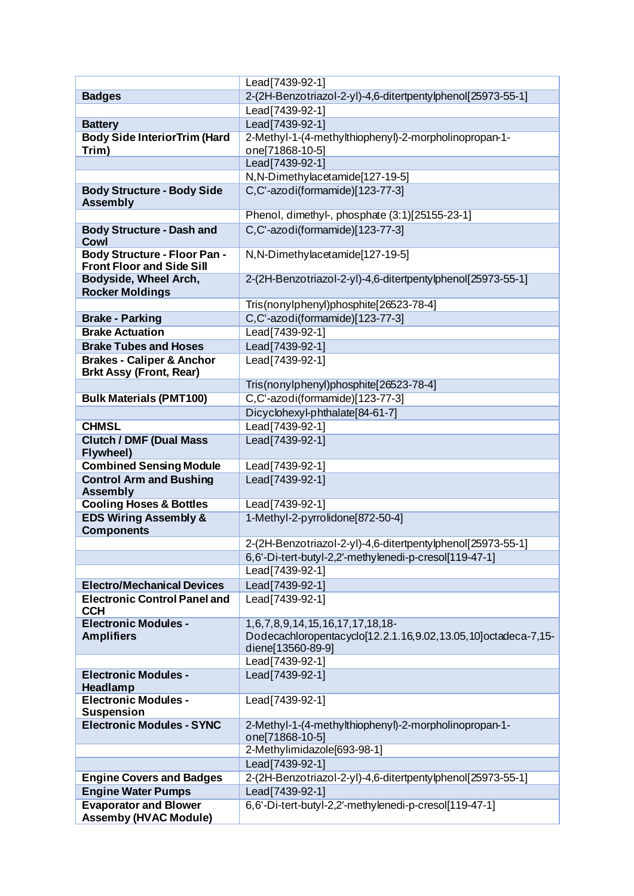|                                                                         | Lead[7439-92-1]                                                          |
|-------------------------------------------------------------------------|--------------------------------------------------------------------------|
| <b>Badges</b>                                                           | 2-(2H-Benzotriazol-2-yl)-4,6-ditertpentylphenol[25973-55-1]              |
|                                                                         | Lead[7439-92-1]                                                          |
| <b>Battery</b>                                                          | Lead[7439-92-1]                                                          |
| <b>Body Side InteriorTrim (Hard</b>                                     | 2-Methyl-1-(4-methylthiophenyl)-2-morpholinopropan-1-                    |
| Trim)                                                                   | one[71868-10-5]                                                          |
|                                                                         | Lead[7439-92-1]                                                          |
|                                                                         | N, N-Dimethylacetamide[127-19-5]                                         |
| <b>Body Structure - Body Side</b>                                       | C,C'-azodi(formamide)[123-77-3]                                          |
| <b>Assembly</b>                                                         |                                                                          |
|                                                                         | Phenol, dimethyl-, phosphate (3:1)[25155-23-1]                           |
| <b>Body Structure - Dash and</b><br>Cowl                                | C,C'-azodi(formamide)[123-77-3]                                          |
| <b>Body Structure - Floor Pan -</b><br><b>Front Floor and Side Sill</b> | N, N-Dimethylacetamide[127-19-5]                                         |
| Bodyside, Wheel Arch,<br><b>Rocker Moldings</b>                         | 2-(2H-Benzotriazol-2-yl)-4,6-ditertpentylphenol[25973-55-1]              |
|                                                                         | Tris(nonylphenyl)phosphite[26523-78-4]                                   |
| <b>Brake - Parking</b>                                                  | C,C'-azodi(formamide)[123-77-3]                                          |
| <b>Brake Actuation</b>                                                  | Lead[7439-92-1]                                                          |
| <b>Brake Tubes and Hoses</b>                                            | Lead[7439-92-1]                                                          |
| <b>Brakes - Caliper &amp; Anchor</b><br><b>Brkt Assy (Front, Rear)</b>  | Lead [7439-92-1]                                                         |
|                                                                         | Tris(nonylphenyl)phosphite[26523-78-4]                                   |
| <b>Bulk Materials (PMT100)</b>                                          | C,C'-azodi(formamide)[123-77-3]                                          |
|                                                                         | Dicyclohexyl-phthalate[84-61-7]                                          |
| <b>CHMSL</b>                                                            | Lead[7439-92-1]                                                          |
| <b>Clutch / DMF (Dual Mass)</b>                                         | Lead[7439-92-1]                                                          |
| Flywheel)                                                               |                                                                          |
| <b>Combined Sensing Module</b>                                          | Lead[7439-92-1]                                                          |
| <b>Control Arm and Bushing</b><br><b>Assembly</b>                       | Lead[7439-92-1]                                                          |
| <b>Cooling Hoses &amp; Bottles</b>                                      | Lead[7439-92-1]                                                          |
| <b>EDS Wiring Assembly &amp;</b><br><b>Components</b>                   | 1-Methyl-2-pyrrolidone[872-50-4]                                         |
|                                                                         | 2-(2H-Benzotriazol-2-yl)-4,6-ditertpentylphenol[25973-55-1]              |
|                                                                         | 6,6'-Di-tert-butyl-2,2'-methylenedi-p-cresol[119-47-1]                   |
|                                                                         | Lead[7439-92-1]                                                          |
| <b>Electro/Mechanical Devices</b>                                       | Lead[7439-92-1]                                                          |
| <b>Electronic Control Panel and</b>                                     | Lead [7439-92-1]                                                         |
| <b>CCH</b>                                                              |                                                                          |
| <b>Electronic Modules -</b>                                             | 1,6,7,8,9,14,15,16,17,17,18,18-                                          |
| <b>Amplifiers</b>                                                       | Dodecachloropentacyclo[12.2.1.16,9.02,13.05,10]octadeca-7,15-            |
|                                                                         | diene[13560-89-9]                                                        |
|                                                                         | Lead[7439-92-1]                                                          |
| <b>Electronic Modules -</b><br>Headlamp                                 | Lead [7439-92-1]                                                         |
| <b>Electronic Modules -</b><br><b>Suspension</b>                        | Lead[7439-92-1]                                                          |
| <b>Electronic Modules - SYNC</b>                                        | 2-Methyl-1-(4-methylthiophenyl)-2-morpholinopropan-1-<br>one[71868-10-5] |
|                                                                         | 2-Methylimidazole[693-98-1]                                              |
|                                                                         | Lead[7439-92-1]                                                          |
| <b>Engine Covers and Badges</b>                                         | 2-(2H-Benzotriazol-2-yl)-4,6-ditertpentylphenol[25973-55-1]              |
| <b>Engine Water Pumps</b>                                               | Lead[7439-92-1]                                                          |
| <b>Evaporator and Blower</b>                                            | 6,6'-Di-tert-butyl-2,2'-methylenedi-p-cresol[119-47-1]                   |
| <b>Assemby (HVAC Module)</b>                                            |                                                                          |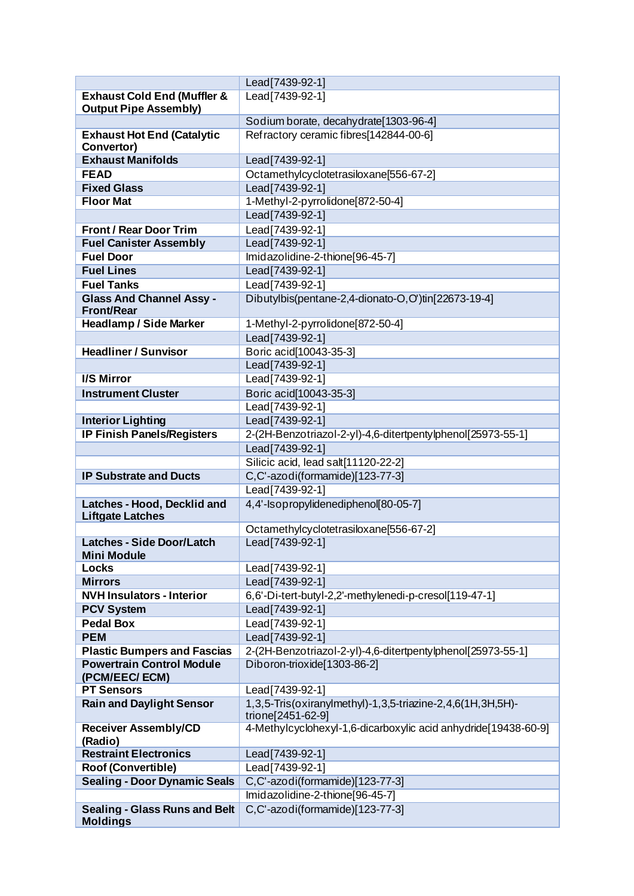|                                                      | Lead[7439-92-1]                                                                 |
|------------------------------------------------------|---------------------------------------------------------------------------------|
| <b>Exhaust Cold End (Muffler &amp;</b>               | Lead [7439-92-1]                                                                |
| <b>Output Pipe Assembly)</b>                         |                                                                                 |
|                                                      | Sodium borate, decahydrate[1303-96-4]                                           |
| <b>Exhaust Hot End (Catalytic</b>                    | Refractory ceramic fibres[142844-00-6]                                          |
| Convertor)                                           |                                                                                 |
| <b>Exhaust Manifolds</b>                             | Lead[7439-92-1]                                                                 |
| <b>FEAD</b>                                          | Octamethylcyclotetrasiloxane[556-67-2]                                          |
| <b>Fixed Glass</b>                                   | Lead[7439-92-1]                                                                 |
| <b>Floor Mat</b>                                     | 1-Methyl-2-pyrrolidone[872-50-4]                                                |
|                                                      | Lead[7439-92-1]                                                                 |
| <b>Front / Rear Door Trim</b>                        | Lead[7439-92-1]                                                                 |
| <b>Fuel Canister Assembly</b>                        | Lead[7439-92-1]                                                                 |
| <b>Fuel Door</b>                                     | Imidazolidine-2-thione[96-45-7]                                                 |
| <b>Fuel Lines</b>                                    | Lead[7439-92-1]                                                                 |
| <b>Fuel Tanks</b>                                    | Lead[7439-92-1]                                                                 |
| <b>Glass And Channel Assy -</b><br><b>Front/Rear</b> | Dibutylbis(pentane-2,4-dionato-O,O')tin[22673-19-4]                             |
| <b>Headlamp / Side Marker</b>                        | 1-Methyl-2-pyrrolidone[872-50-4]                                                |
|                                                      | Lead[7439-92-1]                                                                 |
| <b>Headliner / Sunvisor</b>                          | Boric acid[10043-35-3]                                                          |
|                                                      | Lead [7439-92-1]                                                                |
| <b>I/S Mirror</b>                                    | Lead[7439-92-1]                                                                 |
| <b>Instrument Cluster</b>                            | Boric acid[10043-35-3]                                                          |
|                                                      | Lead[7439-92-1]                                                                 |
| <b>Interior Lighting</b>                             | Lead[7439-92-1]                                                                 |
| <b>IP Finish Panels/Registers</b>                    | 2-(2H-Benzotriazol-2-yl)-4,6-ditertpentylphenol[25973-55-1]                     |
|                                                      | Lead[7439-92-1]                                                                 |
|                                                      | Silicic acid, lead salt[11120-22-2]                                             |
| <b>IP Substrate and Ducts</b>                        | C,C'-azodi(formamide)[123-77-3]                                                 |
|                                                      | Lead[7439-92-1]                                                                 |
| Latches - Hood, Decklid and                          | 4,4'-Isopropylidenediphenol[80-05-7]                                            |
| <b>Liftgate Latches</b>                              |                                                                                 |
|                                                      | Octamethylcyclotetrasiloxane[556-67-2]                                          |
| <b>Latches - Side Door/Latch</b>                     | Lead [7439-92-1]                                                                |
| <b>Mini Module</b>                                   |                                                                                 |
| <b>Locks</b>                                         | Lead[7439-92-1]                                                                 |
| <b>Mirrors</b>                                       | Lead[7439-92-1]                                                                 |
| <b>NVH Insulators - Interior</b>                     | 6,6'-Di-tert-butyl-2,2'-methylenedi-p-cresol[119-47-1]                          |
| <b>PCV System</b>                                    | Lead[7439-92-1]                                                                 |
| <b>Pedal Box</b>                                     | Lead[7439-92-1]                                                                 |
| <b>PEM</b>                                           | Lead[7439-92-1]                                                                 |
| <b>Plastic Bumpers and Fascias</b>                   | 2-(2H-Benzotriazol-2-yl)-4,6-ditertpentylphenol[25973-55-1]                     |
| <b>Powertrain Control Module</b><br>(PCM/EEC/ECM)    | Diboron-trioxide[1303-86-2]                                                     |
| <b>PT Sensors</b>                                    | Lead[7439-92-1]                                                                 |
| <b>Rain and Daylight Sensor</b>                      | 1,3,5-Tris(oxiranylmethyl)-1,3,5-triazine-2,4,6(1H,3H,5H)-<br>trione[2451-62-9] |
| <b>Receiver Assembly/CD</b><br>(Radio)               | 4-Methylcyclohexyl-1,6-dicarboxylic acid anhydride[19438-60-9]                  |
| <b>Restraint Electronics</b>                         | Lead[7439-92-1]                                                                 |
| <b>Roof (Convertible)</b>                            | Lead[7439-92-1]                                                                 |
| <b>Sealing - Door Dynamic Seals</b>                  | C,C'-azodi(formamide)[123-77-3]                                                 |
|                                                      | Imidazolidine-2-thione[96-45-7]                                                 |
| <b>Sealing - Glass Runs and Belt</b>                 | C,C'-azodi(formamide)[123-77-3]                                                 |
| <b>Moldings</b>                                      |                                                                                 |